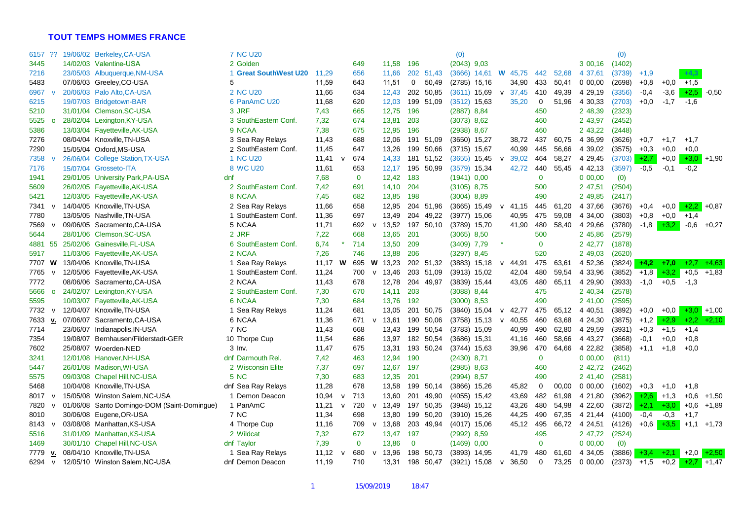## **TOUT TEMPS HOMMES FRANCE**

| 6157 ??        |          | 19/06/02 Berkeley, CA-USA                   | <b>7 NC U20</b>       |       |              |              |              |           |              |           | (0)            |                |              |                |              |       |            | (0)           |               |        |                |                |
|----------------|----------|---------------------------------------------|-----------------------|-------|--------------|--------------|--------------|-----------|--------------|-----------|----------------|----------------|--------------|----------------|--------------|-------|------------|---------------|---------------|--------|----------------|----------------|
| 3445           |          | 14/02/03 Valentine-USA                      | 2 Golden              |       |              | 649          |              | 11,58     | 196          |           | $(2043)$ 9,03  |                |              |                |              |       | 3 00,16    | (1402)        |               |        |                |                |
| 7216           |          | 23/05/03 Albuquerque, NM-USA                | 1 Great SouthWest U20 | 11,29 |              | 656          |              | 11,66     |              | 202 51.43 |                | $(3666)$ 14,61 |              | <b>W</b> 45,75 | 442          | 52,68 | 4 37,61    | (3739)        | $+1,9$        |        | $+4,3$         |                |
| 5483           |          | 07/06/03 Greeley, CO-USA                    |                       | 11,59 |              | 643          |              | 11,51     | 0            | 50,49     | $(2785)$ 15,16 |                |              | 34,90          | 433          | 50,41 | 0 00,00    | (2698)        | $+0,8$        | $+0.0$ | $+1,5$         |                |
| 6967           |          | 20/06/03 Palo Alto, CA-USA                  | 2 NC U <sub>20</sub>  | 11,66 |              | 634          |              | 12,43     | 202          | 50,85     |                | $(3611)$ 15,69 | $\mathsf{v}$ | 37,45          | 410          | 49,39 | 4 29,19    | (3356)        | $-0,4$        | $-3,6$ | $+2,5$ -0,50   |                |
| 6215           |          | 19/07/03 Bridgetown-BAR                     | 6 PanAmC U20          | 11,68 |              | 620          |              | 12,03     |              | 199 51,09 |                | $(3512)$ 15,63 |              | 35,20          | 0            | 51,96 | 4 30,33    | (2703)        | $+0.0$        | $-1,7$ | $-1,6$         |                |
| 5210           |          | 31/01/04 Clemson, SC-USA                    | 3 JRF                 | 7,43  |              | 665          |              | 12,75     | 196          |           | $(2887)$ 8,84  |                |              |                | 450          |       | 2 48,39    | (2323)        |               |        |                |                |
| 5525           | $\Omega$ | 28/02/04 Lexington, KY-USA                  | 3 SouthEastern Conf.  | 7,32  |              | 674          |              | 13,81     | 203          |           | (3073) 8,62    |                |              |                | 460          |       | 2 43,97    | (2452)        |               |        |                |                |
| 5386           |          | 13/03/04 Fayetteville, AK-USA               | 9 NCAA                | 7,38  |              | 675          |              | 12,95     | 196          |           | (2938) 8.67    |                |              |                | 460          |       | 2 43,22    | (2448)        |               |        |                |                |
| 7276           |          | 08/04/04 Knoxville, TN-USA                  | 3 Sea Ray Relays      | 11,43 |              | 688          |              | 12,06     |              | 191 51,09 |                | $(3650)$ 15,27 |              | 38,72          | 437          | 60,75 | 4 36,99    | (3626)        | $+0,7$        | $+1,7$ | $+1,7$         |                |
| 7290           |          | 15/05/04 Oxford, MS-USA                     | 2 SouthEastern Conf.  | 11,45 |              | 647          |              | 13,26     | 199          | 50,66     |                | $(3715)$ 15,67 |              | 40,99          | 445          | 56,66 | 4 39,02    | (3575)        | $+0.3$        | $+0,0$ | $+0,0$         |                |
| 7358           |          | 26/06/04 College Station, TX-USA            | 1 NC U <sub>20</sub>  | 11,41 | $\mathsf{v}$ | 674          |              | 14,33     | 181          | 51,52     |                | $(3655)$ 15,45 |              | 39,02          | 464          | 58,27 | 4 29,45    | $(3703)$ +2.7 |               | $+0,0$ |                | $+3,0$ +1,90   |
| 7176           |          | 15/07/04 Grosseto-ITA                       | 8 WC U20              | 11,61 |              | 653          |              | 12,17     |              | 195 50,99 | $(3579)$ 15,34 |                |              | 42,72          | 440          | 55,45 | 4 42,13    | (3597)        | $-0,5$        | $-0,1$ | $-0,2$         |                |
| 1941           |          | 29/01/05 University Park, PA-USA            | dnf                   | 7,68  |              | $\mathbf 0$  |              | 12,42     | 183          |           | $(1941)$ 0,00  |                |              |                | $\mathbf 0$  |       | 0 00,00    | (0)           |               |        |                |                |
| 5609           |          | 26/02/05 Fayetteville, AK-USA               | 2 SouthEastern Conf.  | 7.42  |              | 691          |              | 14,10     | 204          |           | $(3105)$ 8.75  |                |              |                | 500          |       | 2 47,51    | (2504)        |               |        |                |                |
| 5421           |          | 12/03/05 Fayetteville, AK-USA               | 8 NCAA                | 7,45  |              | 682          |              | 13,85     | 198          |           | $(3004)$ 8,89  |                |              |                | 490          |       | 2 49,85    | (2417)        |               |        |                |                |
| 7341 v         |          | 14/04/05 Knoxville, TN-USA                  | 2 Sea Ray Relays      | 11,66 |              | 658          |              | 12,95     |              | 204 51,96 |                | (3665) 15,49   | $\mathbf v$  | 41,15          | 445          | 61,20 | 4 37,66    | (3676)        | $+0,4$        | $+0.0$ |                | $+2,2$ +0,87   |
| 7780           |          | 13/05/05 Nashville, TN-USA                  | 1 SouthEastern Conf.  | 11,36 |              | 697          |              | 13,49     | 204          | 49,22     | $(3977)$ 15,06 |                |              | 40,95          | 475          | 59,08 | 4 34,00    | (3803)        | $+0.8$        | $+0.0$ | $+1,4$         |                |
| 7569           |          | 09/06/05 Sacramento, CA-USA                 | 5 NCAA                | 11,71 |              | 692          |              | 13,52     |              | 197 50,10 | (3789) 15,70   |                |              | 41,90          | 480          | 58,40 | 4 29,66    | (3780)        | $-1,8$        | $+3,2$ | $-0,6$         | $+0,27$        |
| 5644           |          | 28/01/06 Clemson.SC-USA                     | 2 JRF                 | 7,22  |              | 668          |              | 13,65     | 201          |           | $(3065)$ 8,50  |                |              |                | 500          |       | 2 45,86    | (2579)        |               |        |                |                |
| 4881 55        |          | 25/02/06 Gainesville, FL-USA                | 6 SouthEastern Conf.  | 6,74  |              | 714          |              | 13,50     | 209          |           | $(3409)$ 7,79  |                |              |                | $\mathbf{0}$ |       | 2 42,77    | (1878)        |               |        |                |                |
| 5917           |          | 11/03/06 Fayetteville, AK-USA               | 2 NCAA                | 7,26  |              | 746          |              | 13,88     | 206          |           | $(3297)$ 8,45  |                |              |                | 520          |       | 2 49,03    | (2620)        |               |        |                |                |
| 7707 W         |          | 13/04/06 Knoxville, TN-USA                  | 1 Sea Ray Relays      | 11.17 | W            | 695          |              | $W$ 13,23 |              | 202 51.32 |                | (3883) 15,18   | $\mathsf{v}$ | 44,91          | 475          | 63,61 | 4 52,36    | (3824)        | $+4,2$        | $+7.0$ |                | $+2,7$ $+4,63$ |
| 7765 v         |          | 12/05/06 Fayetteville, AK-USA               | 1 SouthEastern Conf.  | 11,24 |              | 700          |              | $v$ 13,46 | 203          | 51,09     | $(3913)$ 15,02 |                |              | 42,04          | 480          | 59,54 | 4 33,96    | (3852)        | $+1,8$        | $+3,2$ | $+0,5$ $+1,83$ |                |
| 7772           |          | 08/06/06 Sacramento, CA-USA                 | 2 NCAA                | 11,43 |              | 678          |              | 12,78     |              | 204 49,97 | $(3839)$ 15,44 |                |              | 43,05          | 480          | 65,11 | 4 29,90    | (3933)        | $-1,0$        | $+0,5$ | $-1,3$         |                |
| 5666           | $\Omega$ | 24/02/07 Lexington, KY-USA                  | 2 SouthEastern Conf.  | 7,30  |              | 670          |              | 14,11     | 203          |           | $(3088)$ 8,44  |                |              |                | 475          |       | 2 40,34    | (2578)        |               |        |                |                |
| 5595           |          | 10/03/07 Fayetteville, AK-USA               | 6 NCAA                | 7,30  |              | 684          |              | 13,76     | 192          |           | $(3000)$ 8,53  |                |              |                | 490          |       | 2 41,00    | (2595)        |               |        |                |                |
| 7732 v         |          | 12/04/07 Knoxville, TN-USA                  | 1 Sea Ray Relays      | 11,24 |              | 681          |              | 13,05     | 201          | 50,75     |                | $(3840)$ 15,04 | $\mathsf{v}$ | 42,77          | 475          | 65,12 | 4 40,51    | (3892)        | $+0,0$        | $+0,0$ |                | $+3,0$ +1,00   |
| 7633 <u>v.</u> |          | 07/06/07 Sacramento, CA-USA                 | 6 NCAA                | 11,36 |              | 671          | v            | 13,61     | 190          | 50,06     |                | $(3758)$ 15,13 |              | 40,55          | 460          | 63,68 | 4 24,30    | (3875)        | $+1,2$        | $+2,9$ |                | $+2,2$ $+2,10$ |
| 7714           |          | 23/06/07 Indianapolis, IN-USA               | 7 NC                  | 11,43 |              | 668          |              | 13,43     |              | 199 50,54 | $(3783)$ 15,09 |                |              | 40,99          | 490          | 62,80 | 4 29,59    | (3931)        | $+0,3$        | $+1,5$ | $+1,4$         |                |
| 7354           |          | 19/08/07 Bernhausen/Filderstadt-GER         | 10 Thorpe Cup         | 11,54 |              | 686          |              | 13,97     |              | 182 50,54 | $(3686)$ 15,31 |                |              | 41,16          | 460          | 58,66 | 4 43,27    | (3668)        | $-0,1$        | $+0,0$ | $+0.8$         |                |
| 7602           |          | 25/08/07 Woerden-NED                        | $3$ lnv.              | 11,47 |              | 675          |              | 13,31     |              | 193 50,24 | $(3744)$ 15,63 |                |              | 39,96          | 470          | 64,66 | 4 22,82    | (3858)        | $+1.1$        | $+1,8$ | $+0,0$         |                |
| 3241           |          | 12/01/08 Hanover, NH-USA                    | dnf Darmouth Rel.     | 7,42  |              | 463          |              | 12,94     | 190          |           | $(2430)$ 8,71  |                |              |                | $\mathbf 0$  |       | 00,00      | (811)         |               |        |                |                |
| 5447           |          | 26/01/08 Madison, WI-USA                    | 2 Wisconsin Elite     | 7,37  |              | 697          |              | 12,67     | 197          |           | $(2985)$ 8,63  |                |              |                | 460          |       | 2 42,72    | (2462)        |               |        |                |                |
| 5575           |          | 09/03/08 Chapel Hill, NC-USA                | <b>5 NC</b>           | 7,30  |              | 683          |              | 12,35     | 201          |           | $(2994)$ 8,57  |                |              |                | 490          |       | 2 41,40    | (2581)        |               |        |                |                |
| 5468           |          | 10/04/08 Knoxville, TN-USA                  | dnf Sea Ray Relays    | 11,28 |              | 678          |              | 13,58     |              | 199 50,14 |                | (3866) 15,26   |              | 45,82          | $\Omega$     | 00,00 | $0\,00.00$ | (1602)        | $+0.3$        | $+1,0$ | $+1,8$         |                |
| 8017 v         |          | 15/05/08 Winston Salem, NC-USA              | 1 Demon Deacon        | 10,94 | V            | 713          |              | 13,60     | 201          | 49,90     | $(4055)$ 15,42 |                |              | 43,69          | 482          | 61,98 | 4 21,80    | (3962)        | $+2,6$ +1,3   |        |                | $+0,6$ +1,50   |
| 7820 v         |          | 01/06/08 Santo Domingo-DOM (Saint-Domingue) | 1 PanAmC              | 11,21 | $\mathsf{v}$ | 720          | $\mathsf{v}$ | 13,49     |              | 197 50,35 | $(3948)$ 15,12 |                |              | 43,26          | 480          | 54,98 | 4 22,60    | (3872)        | $+2,1$ $+3,0$ |        | $+0,6$ +1,89   |                |
| 8010           |          | 30/06/08 Eugene, OR-USA                     | 7 NC                  | 11,34 |              | 698          |              | 13,80     | 199          | 50,20     | $(3910)$ 15,26 |                |              | 44,25          | 490          | 67,35 | 4 21,44    | (4100)        | $-0,4$        | $-0.3$ | $+1,7$         |                |
| 8143 v         |          | 03/08/08 Manhattan, KS-USA                  | 4 Thorpe Cup          | 11,16 |              | 709          |              | $v$ 13,68 |              | 203 49,94 | $(4017)$ 15,06 |                |              | 45,12          | 495          | 66,72 | 4 24,51    | (4126)        | $+0,6$ $+3,5$ |        |                | $+1,1$ $+1,73$ |
| 5516           |          | 31/01/09 Manhattan, KS-USA                  | 2 Wildcat             | 7,32  |              | 672          |              | 13,47     | 197          |           | $(2992)$ 8,59  |                |              |                | 495          |       | 2 47,72    | (2524)        |               |        |                |                |
| 1469           |          | 30/01/10 Chapel Hill, NC-USA                | dnf Taylor            | 7,39  |              | $\mathbf{0}$ |              | 13,86     | $\mathbf{0}$ |           | $(1469)$ 0,00  |                |              |                | $\mathbf 0$  |       | 00.00      | (0)           |               |        |                |                |
| 7779 <u>v.</u> |          | 08/04/10 Knoxville, TN-USA                  | 1 Sea Ray Relays      | 11.12 |              | 680          |              | $v$ 13,96 | 198          | 50,73     |                | (3893) 14,95   |              | 41.79          | 480          | 61,60 | 4 34,05    | (3886)        | $+3,4$        | $+2,1$ | $+2,0$ $+2,50$ |                |
| 6294 v         |          | 12/05/10 Winston Salem.NC-USA               | dnf Demon Deacon      | 11.19 |              | 710          |              | 13.31     |              | 198 50.47 |                | $(3921)$ 15,08 | $\mathsf{v}$ | 36.50          | $\Omega$     | 73.25 | 00.00      | (2373)        | $+1.5$        | $+0,2$ | $+2.7 +1.47$   |                |